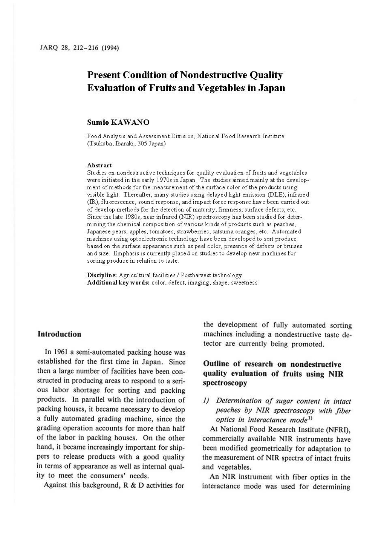# **Present Condition of Nondestructive Quality Evaluation of Fruits and Vegetables in Japan**

### **Sumio KAW ANO**

Food Analysis and Assessment Division, National Food Research Institute (Tsukuba, Ibaraki, 305 Japan)

#### **Abstract**

Studies on nondestructive techniques for quality evaluation of fruits and vegetables were initiated in the early 1970s in Japan. The studies aimed mainly at the development of methods for the measurement of the surface color of the products using visible light. Thereafter, many studies using delayed light emission (DLE), infrared (IR), fluorescence, sound response, and impact force response have been carried out of develop methods for the detection of maturity, firmness, surface defects, etc. Since the late 1980s, near infrared (NIR) spectroscopy has been studied for determining the chemical composition of various kinds of products such as peaches, Japanese pears, apples, tomatoes, strawberries, satsuma oranges, etc. Automated machines using optoelectronic technology have been developed to sort produce based on the surface appearance such as peel color, presence of defects or bruises and size. Emphasis is currently placed on studies to develop new machines for sorting produce in relation to taste.

**Discipline:** Agricultural facilities/ Postharvest technology **Additional keywords:** color, defect, imaging, shape, sweetness

#### **Introduction**

In 1961 a semi-automated packing house was established for the first time in Japan. Since then a large number of facilities have been constructed in producing areas to respond to a serious labor shortage for sorting and packing products. In parallel with the introduction of packing houses, it became necessary to develop a fully automated grading machine, since the grading operation accounts for more than half of the labor in packing houses. On the other hand, it became increasingly important for shippers to release products with a good quality in terms of appearance as well as internal quality to meet the consumers' needs.

the development of fully automated sorting machines including a nondestructive taste detector are currently being promoted.

# **Outline of research on nondestructive quality evaluation of fruits using NIR spectroscopy**

### *I) Determination of sugar content in intact*  peaches by NIR spectroscopy with fiber *optics in interactance mode1* >

At National Food Research Institute (NFRI), commercially available NIR instruments have been modified geometrically for adaptation to the measurement of NIR spectra of intact fruits and vegetables.

An NIR instrument with fiber optics in the Against this background,  $R \& D$  activities for interactance mode was used for determining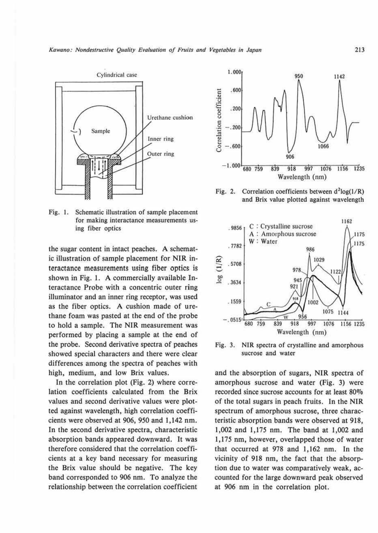*Kawano: Nondestructive Quality Evaluation of Fruits and Vegetables in Japan* 713



Fig. I. Schematic illustration of sample placement for making interactance measurements using fiber optics

the sugar content in intact peaches. A schematic illustration of sample placement for NIR interactance measurements using fiber optics is shown in Fig. I. A commercially available Interactance Probe with a concentric outer ring illuminator and an inner ring receptor, was used as the fiber optics. A cushion made of urethane foam was pasted at the end of the probe to hold a sample. The NIR measurement was performed by placing a sample at the end of the probe. Second derivative spectra of peaches showed special characters and there were clear differences among the spectra of peaches with high, medium, and low Brix values.

In the correlation plot (Fig. 2) where correlation coefficients calculated from the Brix values and second derivative values were plotted against wavelength, high correlation coefficients were observed at 906, 950 and 1,142 nm. In the second derivative spectra, characteristic absorption bands appeared downward. It was therefore considered that the correlation coefficients at a key band necessary for measuring the Brix value should be negative. The key band corresponded to 906 nm. To analyze the relationship between the correlation coefficient



Fig. 2. Correlation coefficients between  $d^{2}log(1/R)$ and Brix value plotted against wavelength



Fig. 3. **NIR** spectra of crystalline and amorphous sucrose and water

and the absorption of sugars, NIR spectra of amorphous sucrose and water (Fig. 3) were recorded since sucrose accounts for at least 80% of the total sugars in peach fruits. In the NlR spectrum of amorphous sucrose, three characteristic absorption bands were observed at 918, 1,002 and 1,175 nm. The band at 1,002 and 1,175 nm, however, overlapped those of water that occurred at 978 and 1,162 nm. In the vicinity of 918 nm, the fact that the absorption due to water was comparatively weak, accounted for the large downward peak observed at 906 nm in the correlation plot.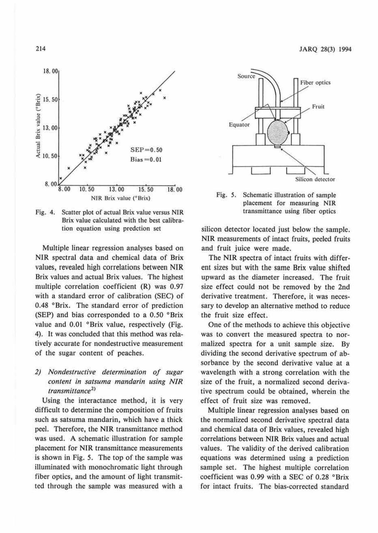

**Fig.** 4. Scatter plot of actual Brix value versus NIR Brix value calculated with the best calibration equation using predction set

Multiple linear regression analyses based on NIR spectral data and chemical data of Brix values, revealed high correlations between NIR Brix values and actual Brix values. The highest multiple correlation coefficient (R) was 0.97 with a standard error of calibration (SEC) of 0.48 °Brix. The standard error of prediction (SEP) and bias corresponded to a 0.50 °Brix value and 0.01 °Brix value, respectively (Fig. 4). It was concluded that this method was relatively accurate for nondestructive measurement of the sugar content of peaches.

# *2) Nondestructive determination of sugar content in satsuma mandarin using N/R transmittance2* >

Using the interactance method, it is very difficult to determine the composition of fruits such as satsuma mandarin, which have a thick peel. Therefore, the NIR transmittance method was used. A schematic illustration for sample placement for NIR transmittance measurements is shown in Fig. 5. The top of the sample was illuminated with monochromatic light through fiber optics, and the amount of light transmitted through the sample was measured with a



Fig. *5.* Schematic illustration of sample placement for measuring N!R transmittance using fiber optics

silicon detector located just below the sample. NIR measurements of intact fruits, peeled fruits and fruit juice were made.

The NIR spectra of intact fruits with different sizes but with the same Brix value shifted upward as the diameter increased. The fruit size effect could not be removed by the 2nd derivative treatment. Therefore, it was necessary to develop an alternative method to reduce the fruit size effect.

One of the methods to achieve this objective was to convert the measured spectra to normalized spectra for a unit sample size. By dividing the second derivative spectrum of absorbance by the second derivative value at a wavelength with a strong correlation with the size of the fruit, a normalized second derivative spectrum could be obtained, wherein the effect of fruit size was removed.

Multiple linear regression analyses based on the normalized second derivative spectral data and chemical data of Brix values, revealed high correlations between NIR Brix values and actual values. The validity of the derived calibration equations was determined using a prediction sample set. The highest multiple correlation coefficient was 0.99 with a SEC of 0.28 °Brix for intact fruits. The bias-corrected standard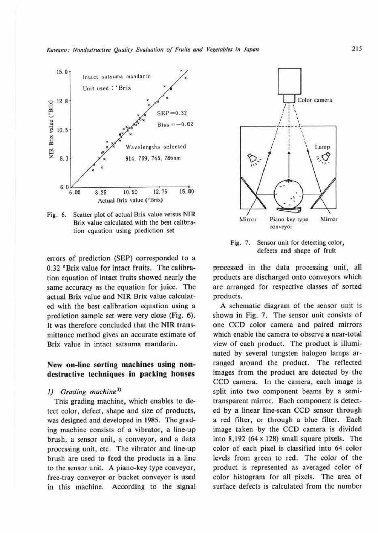

Fig. 6. Scatter plot of actual Brix value versus NIR Brix value calculated with the best calibration equation using prediction set

errors of prediction (SEP) corresponded to a 0.32 °Brix value for intact fruits. The calibration equation of intact fruits showed nearly the same accuracy as the equation for juice. The actual Brix value and NIR Brix value calculated with the best calibration equation using a prediction sample set were very close (Fig. 6). lt was therefore concluded that the NlR transmittance method gives an accurate estimate of Brix value in intact satsuma mandarin.

### **New on-line sorting machines using nondestructive techniques in packing houses**

### 1) Grading machine<sup>3)</sup>

This grading machine, which enables to detect color, defect, shape and size of products, was designed and developed in 1985. The grading machine consists of a vibrator, a line-up brush, a sensor unit, a conveyor, and a data processing unit, etc. The vibrator and line-up brush are used to feed the products in a line to the sensor unit. A piano-key type conveyor, free-tray conveyor or bucket conveyor is used in this machine. According to the signal



Fig. 7. Sensor unit for detecting color, defects and shape of fruit

processed in the data processing unit, all products are discharged onto conveyors which are arranged for respective classes of sorted products.

A schematic diagram of the sensor unit is shown in Fig. 7. The sensor unit consists of one CCD color camera and paired mirrors which enable the camera to observe a near-total view of each product. The product is illuminated by several tungsten halogen lamps arranged around the product. The reflected images from the product are detected by the CCD camera. ln the camera, each image is split into two component beams by a semitransparent mirror. Each component is detected by a linear line-scan CCD sensor through a red filter, or through a blue filter. Each image taken by the CCD camera is divided into  $8,192$  (64  $\times$  128) small square pixels. The color of each pixel is classified into 64 color levels from green to red. The color of the product is represented as averaged color of color histogram for all pixels. The area of surface defects is calculated from the number